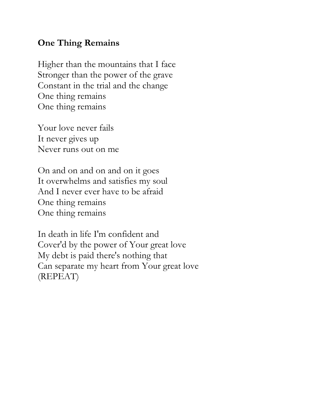## **One Thing Remains**

Higher than the mountains that I face Stronger than the power of the grave Constant in the trial and the change One thing remains One thing remains

Your love never fails It never gives up Never runs out on me

On and on and on and on it goes It overwhelms and satisfies my soul And I never ever have to be afraid One thing remains One thing remains

In death in life I'm confident and Cover'd by the power of Your great love My debt is paid there's nothing that Can separate my heart from Your great love (REPEAT)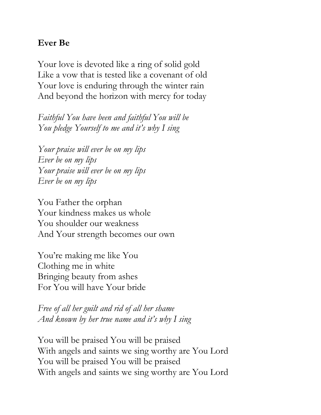#### **Ever Be**

Your love is devoted like a ring of solid gold Like a vow that is tested like a covenant of old Your love is enduring through the winter rain And beyond the horizon with mercy for today

*Faithful You have been and faithful You will be You pledge Yourself to me and it's why I sing*

*Your praise will ever be on my lips Ever be on my lips Your praise will ever be on my lips Ever be on my lips*

You Father the orphan Your kindness makes us whole You shoulder our weakness And Your strength becomes our own

You're making me like You Clothing me in white Bringing beauty from ashes For You will have Your bride

*Free of all her guilt and rid of all her shame And known by her true name and it's why I sing*

You will be praised You will be praised With angels and saints we sing worthy are You Lord You will be praised You will be praised With angels and saints we sing worthy are You Lord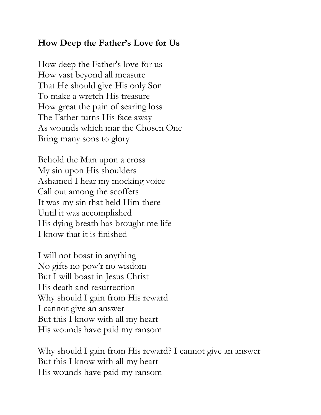# **How Deep the Father's Love for Us**

How deep the Father's love for us How vast beyond all measure That He should give His only Son To make a wretch His treasure How great the pain of searing loss The Father turns His face away As wounds which mar the Chosen One Bring many sons to glory

Behold the Man upon a cross My sin upon His shoulders Ashamed I hear my mocking voice Call out among the scoffers It was my sin that held Him there Until it was accomplished His dying breath has brought me life I know that it is finished

I will not boast in anything No gifts no pow'r no wisdom But I will boast in Jesus Christ His death and resurrection Why should I gain from His reward I cannot give an answer But this I know with all my heart His wounds have paid my ransom

Why should I gain from His reward? I cannot give an answer But this I know with all my heart His wounds have paid my ransom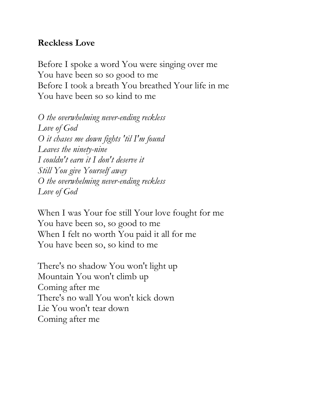#### **Reckless Love**

Before I spoke a word You were singing over me You have been so so good to me Before I took a breath You breathed Your life in me You have been so so kind to me

*O the overwhelming never-ending reckless Love of God O it chases me down fights 'til I'm found Leaves the ninety-nine I couldn't earn it I don't deserve it Still You give Yourself away O the overwhelming never-ending reckless Love of God* 

When I was Your foe still Your love fought for me You have been so, so good to me When I felt no worth You paid it all for me You have been so, so kind to me

There's no shadow You won't light up Mountain You won't climb up Coming after me There's no wall You won't kick down Lie You won't tear down Coming after me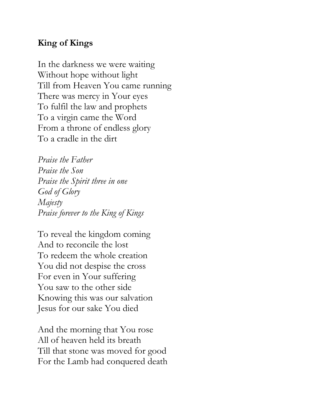### **King of Kings**

In the darkness we were waiting Without hope without light Till from Heaven You came running There was mercy in Your eyes To fulfil the law and prophets To a virgin came the Word From a throne of endless glory To a cradle in the dirt

*Praise the Father Praise the Son Praise the Spirit three in one God of Glory Majesty Praise forever to the King of Kings*

To reveal the kingdom coming And to reconcile the lost To redeem the whole creation You did not despise the cross For even in Your suffering You saw to the other side Knowing this was our salvation Jesus for our sake You died

And the morning that You rose All of heaven held its breath Till that stone was moved for good For the Lamb had conquered death